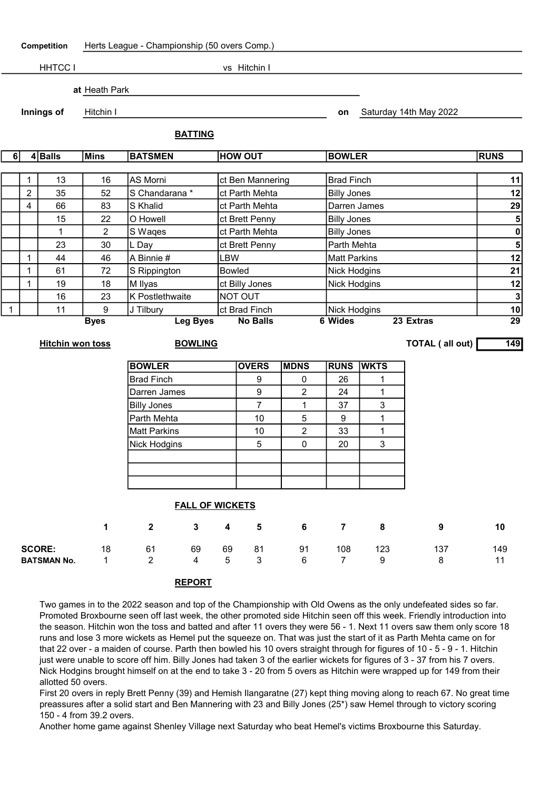Competition Herts League - Championship (50 overs Comp.) HHTCC I vs Hitchin I at Heath Park **Innings of** Hitchin I control Hitchin I control Hitchin I control on Saturday 14th May 2022 BATTING 6 4 Balls Mins BATSMEN HOW OUT BOWLER RUNS 1 13 | 16 | AS Morni | ct Ben Mannering | Brad Finch | 11 | 11 2 35 52 S Chandarana \* ct Parth Mehta Billy Jones 12 4 66 83 S Khalid ct Parth Mehta Darren James 29 15 22 O Howell ct Brett Penny Billy Jones 19 22 D Howell 5 1 2 S Waqes ct Parth Mehta 2 Billy Jones 2 Billy Jones 2 2 0 23 30 L Day ct Brett Penny Parth Mehta 5 1 44 46 A Binnie # LBW Matt Parkins 12 1 61 72 S Rippington Bowled Nick Hodgins 21 1 | 19 | 18 |M Ilyas | ct Billy Jones | Nick Hodgins | 12 16 23 K Postlethwaite NOT OUT And the state of the state of the state of the state of the state of the state o 1 | 11 | 9 |J Tilbury | ct Brad Finch | Nick Hodgins | 10 Byes Leg Byes No Balls 6 Wides 23 Extras 29 Hitchin won toss **BOWLING** BOWLING **TOTAL** ( all out) 149 BOWLER **OVERS MDNS RUNS WKTS** Brad Finch 9 0 26 1 Darren James 9 2 24 1 Billy Jones  $\begin{array}{|c|c|c|c|c|c|c|c|c|} \hline \end{array}$  7  $\begin{array}{|c|c|c|c|c|c|c|c|} \hline \end{array}$  1  $\begin{array}{|c|c|c|c|c|} \hline \end{array}$  37  $\begin{array}{|c|c|c|c|c|} \hline \end{array}$  3 Parth Mehta 10 5 9 1 Matt Parkins | 10 | 2 | 33 | 1 Nick Hodgins | 5 | 0 | 20 | 3 FALL OF WICKETS 1 2 3 4 5 6 7 8 9 10 **SCORE:** 18 61 69 69 81 91 108 123 137 149

## REPORT

Two games in to the 2022 season and top of the Championship with Old Owens as the only undefeated sides so far. Promoted Broxbourne seen off last week, the other promoted side Hitchin seen off this week. Friendly introduction into the season. Hitchin won the toss and batted and after 11 overs they were 56 - 1. Next 11 overs saw them only score 18 runs and lose 3 more wickets as Hemel put the squeeze on. That was just the start of it as Parth Mehta came on for that 22 over - a maiden of course. Parth then bowled his 10 overs straight through for figures of 10 - 5 - 9 - 1. Hitchin just were unable to score off him. Billy Jones had taken 3 of the earlier wickets for figures of 3 - 37 from his 7 overs. Nick Hodgins brought himself on at the end to take 3 - 20 from 5 overs as Hitchin were wrapped up for 149 from their allotted 50 overs.

**BATSMAN No.** 1 2 4 5 3 6 7 9 8 11

First 20 overs in reply Brett Penny (39) and Hemish Ilangaratne (27) kept thing moving along to reach 67. No great time preassures after a solid start and Ben Mannering with 23 and Billy Jones (25\*) saw Hemel through to victory scoring 150 - 4 from 39.2 overs.

Another home game against Shenley Village next Saturday who beat Hemel's victims Broxbourne this Saturday.